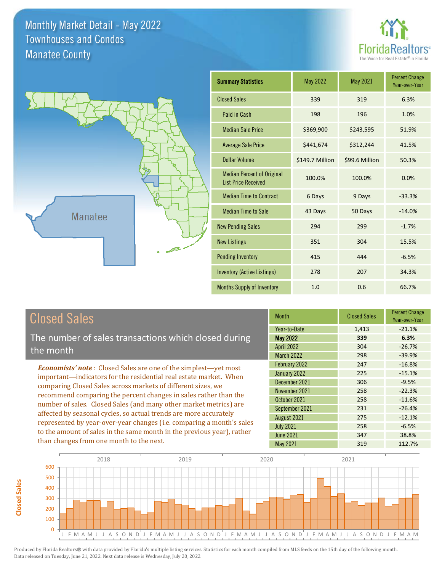



# Closed Sales

**Closed Sales**

**Closed Sales** 

The number of sales transactions which closed during the month

*Economists' note* : Closed Sales are one of the simplest—yet most important—indicators for the residential real estate market. When comparing Closed Sales across markets of different sizes, we recommend comparing the percent changes in sales rather than the number of sales. Closed Sales (and many other market metrics) are affected by seasonal cycles, so actual trends are more accurately represented by year-over-year changes (i.e. comparing a month's sales to the amount of sales in the same month in the previous year), rather than changes from one month to the next.

| <b>Month</b>      | <b>Closed Sales</b> | <b>Percent Change</b><br>Year-over-Year |
|-------------------|---------------------|-----------------------------------------|
| Year-to-Date      | 1,413               | $-21.1%$                                |
| <b>May 2022</b>   | 339                 | 6.3%                                    |
| <b>April 2022</b> | 304                 | $-26.7%$                                |
| <b>March 2022</b> | 298                 | $-39.9%$                                |
| February 2022     | 247                 | $-16.8%$                                |
| January 2022      | 225                 | $-15.1%$                                |
| December 2021     | 306                 | $-9.5%$                                 |
| November 2021     | 258                 | $-22.3%$                                |
| October 2021      | 258                 | $-11.6%$                                |
| September 2021    | 231                 | $-26.4%$                                |
| August 2021       | 275                 | $-12.1%$                                |
| <b>July 2021</b>  | 258                 | $-6.5%$                                 |
| <b>June 2021</b>  | 347                 | 38.8%                                   |
| May 2021          | 319                 | 112.7%                                  |

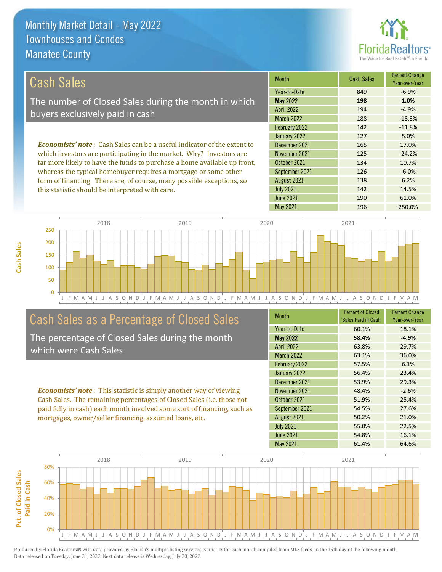

138 6.2%

142 14.5%

| Cash Sales                                                                     | <b>Month</b>      | <b>Cash Sales</b> | <b>Percent Change</b><br>Year-over-Year |
|--------------------------------------------------------------------------------|-------------------|-------------------|-----------------------------------------|
|                                                                                | Year-to-Date      | 849               | $-6.9%$                                 |
| The number of Closed Sales during the month in which                           | <b>May 2022</b>   | 198               | 1.0%                                    |
| buyers exclusively paid in cash                                                | <b>April 2022</b> | 194               | $-4.9%$                                 |
|                                                                                | <b>March 2022</b> | 188               | $-18.3%$                                |
|                                                                                | February 2022     | 142               | $-11.8%$                                |
|                                                                                | January 2022      | 127               | 5.0%                                    |
| <b>Economists' note:</b> Cash Sales can be a useful indicator of the extent to | December 2021     | 165               | 17.0%                                   |
| which investors are participating in the market. Why? Investors are            | November 2021     | 125               | $-24.2%$                                |
| far more likely to have the funds to purchase a home available up front,       | October 2021      | 134               | 10.7%                                   |
| whereas the typical homebuver requires a mortgage or some other                | September 2021    | 126               | $-6.0%$                                 |

J F M A M J J A S O N D J F M A M J J A S O N D J F M A M J J A S O N D J F M A M J J A S O N D J F M A M 0 50 100 150 200 250 2018 2019 2020 2021

# Cash Sales as a Percentage of Closed Sales

whereas the typical homebuyer requires a mortgage or some other form of financing. There are, of course, many possible exceptions, so

this statistic should be interpreted with care.

The percentage of Closed Sales during the month which were Cash Sales

*Economists' note* : This statistic is simply another way of viewing Cash Sales. The remaining percentages of Closed Sales (i.e. those not paid fully in cash) each month involved some sort of financing, such as mortgages, owner/seller financing, assumed loans, etc.

| <b>Month</b>      | <b>Percent of Closed</b><br>Sales Paid in Cash | <b>Percent Change</b><br>Year-over-Year |
|-------------------|------------------------------------------------|-----------------------------------------|
| Year-to-Date      | 60.1%                                          | 18.1%                                   |
| <b>May 2022</b>   | 58.4%                                          | $-4.9%$                                 |
| <b>April 2022</b> | 63.8%                                          | 29.7%                                   |
| <b>March 2022</b> | 63.1%                                          | 36.0%                                   |
| February 2022     | 57.5%                                          | 6.1%                                    |
| January 2022      | 56.4%                                          | 23.4%                                   |
| December 2021     | 53.9%                                          | 29.3%                                   |
| November 2021     | 48.4%                                          | $-2.6%$                                 |
| October 2021      | 51.9%                                          | 25.4%                                   |
| September 2021    | 54.5%                                          | 27.6%                                   |
| August 2021       | 50.2%                                          | 21.0%                                   |
| <b>July 2021</b>  | 55.0%                                          | 22.5%                                   |
| <b>June 2021</b>  | 54.8%                                          | 16.1%                                   |
| <b>May 2021</b>   | 61.4%                                          | 64.6%                                   |

May 2021 196 250.0%

June 2021 190 61.0%

July 2021

August 2021



**Cash Sales**

Pct. of Closed Sales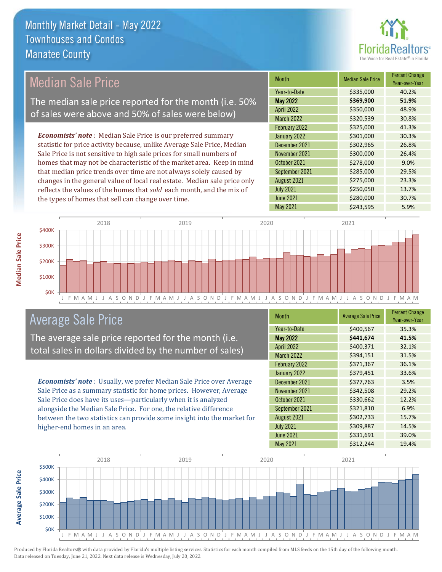

#### Month Median Sale Price Percent Change Year-over-Year May 2022 **\$369,900 51.9%** Year-to-Date \$335,000 40.2% October 2021 \$278,000 9.0% April 2022 \$350,000 48.9% March 2022 \$320,539 30.8% December 2021 **\$302,965** 26.8% November 2021 **\$300,000** 26.4% February 2022 <br>  $\begin{array}{|c|c|c|c|c|}\n\hline\n\text{5325,000} & \text{41.3\%}\n\hline\n\end{array}$ January 2022 **\$301,000** \$301,000 \$30.3% September 2021 \$285,000 29.5% August 2021 **\$275,000** 23.3% July 2021 **\$250,050** \$250,050 13.7% June 2021 **\$280,000** \$280,000 30.7% May 2021 **\$243,595** 5.9% *Economists' note* : Median Sale Price is our preferred summary statistic for price activity because, unlike Average Sale Price, Median Sale Price is not sensitive to high sale prices for small numbers of homes that may not be characteristic of the market area. Keep in mind that median price trends over time are not always solely caused by changes in the general value of local real estate. Median sale price only reflects the values of the homes that *sold* each month, and the mix of the types of homes that sell can change over time. Median Sale Price The median sale price reported for the month (i.e. 50% of sales were above and 50% of sales were below)



## Average Sale Price

The average sale price reported for the month (i.e. total sales in dollars divided by the number of sales)

*Economists' note* : Usually, we prefer Median Sale Price over Average Sale Price as a summary statistic for home prices. However, Average Sale Price does have its uses—particularly when it is analyzed alongside the Median Sale Price. For one, the relative difference between the two statistics can provide some insight into the market for higher-end homes in an area.

| <b>Month</b>      | <b>Average Sale Price</b> | <b>Percent Change</b><br>Year-over-Year |
|-------------------|---------------------------|-----------------------------------------|
| Year-to-Date      | \$400,567                 | 35.3%                                   |
| <b>May 2022</b>   | \$441,674                 | 41.5%                                   |
| <b>April 2022</b> | \$400,371                 | 32.1%                                   |
| <b>March 2022</b> | \$394,151                 | 31.5%                                   |
| February 2022     | \$371,367                 | 36.1%                                   |
| January 2022      | \$379,451                 | 33.6%                                   |
| December 2021     | \$377,763                 | 3.5%                                    |
| November 2021     | \$342,508                 | 29.2%                                   |
| October 2021      | \$330,662                 | 12.2%                                   |
| September 2021    | \$321,810                 | 6.9%                                    |
| August 2021       | \$302,733                 | 15.7%                                   |
| <b>July 2021</b>  | \$309,887                 | 14.5%                                   |
| <b>June 2021</b>  | \$331,691                 | 39.0%                                   |
| <b>May 2021</b>   | \$312,244                 | 19.4%                                   |



**Median Sale Price**

**Median Sale Price**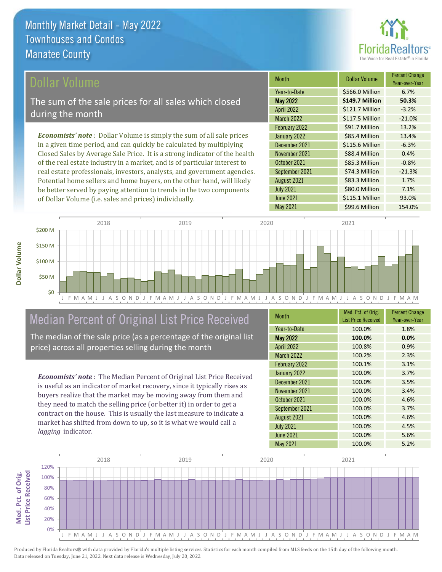

## ollar Volume

The sum of the sale prices for all sales which closed during the month

*Economists' note* : Dollar Volume is simply the sum of all sale prices in a given time period, and can quickly be calculated by multiplying Closed Sales by Average Sale Price. It is a strong indicator of the health of the real estate industry in a market, and is of particular interest to real estate professionals, investors, analysts, and government agencies. Potential home sellers and home buyers, on the other hand, will likely be better served by paying attention to trends in the two components of Dollar Volume (i.e. sales and prices) individually.

| <b>Month</b>      | Dollar Volume   | <b>Percent Change</b><br>Year-over-Year |
|-------------------|-----------------|-----------------------------------------|
| Year-to-Date      | \$566.0 Million | 6.7%                                    |
| <b>May 2022</b>   | \$149.7 Million | 50.3%                                   |
| <b>April 2022</b> | \$121.7 Million | $-3.2%$                                 |
| <b>March 2022</b> | \$117.5 Million | $-21.0%$                                |
| February 2022     | \$91.7 Million  | 13.2%                                   |
| January 2022      | \$85.4 Million  | 13.4%                                   |
| December 2021     | \$115.6 Million | $-6.3%$                                 |
| November 2021     | \$88.4 Million  | 0.4%                                    |
| October 2021      | \$85.3 Million  | $-0.8%$                                 |
| September 2021    | \$74.3 Million  | $-21.3%$                                |
| August 2021       | \$83.3 Million  | 1.7%                                    |
| <b>July 2021</b>  | \$80.0 Million  | 7.1%                                    |
| <b>June 2021</b>  | \$115.1 Million | 93.0%                                   |
| <b>May 2021</b>   | \$99.6 Million  | 154.0%                                  |



# Median Percent of Original List Price Received

The median of the sale price (as a percentage of the original list price) across all properties selling during the month

*Economists' note* : The Median Percent of Original List Price Received is useful as an indicator of market recovery, since it typically rises as buyers realize that the market may be moving away from them and they need to match the selling price (or better it) in order to get a contract on the house. This is usually the last measure to indicate a market has shifted from down to up, so it is what we would call a *lagging* indicator.

| <b>Month</b>      | Med. Pct. of Orig.<br><b>List Price Received</b> | <b>Percent Change</b><br>Year-over-Year |
|-------------------|--------------------------------------------------|-----------------------------------------|
| Year-to-Date      | 100.0%                                           | 1.8%                                    |
| <b>May 2022</b>   | 100.0%                                           | 0.0%                                    |
| <b>April 2022</b> | 100.8%                                           | 0.9%                                    |
| <b>March 2022</b> | 100.2%                                           | 2.3%                                    |
| February 2022     | 100.1%                                           | 3.1%                                    |
| January 2022      | 100.0%                                           | 3.7%                                    |
| December 2021     | 100.0%                                           | 3.5%                                    |
| November 2021     | 100.0%                                           | 3.4%                                    |
| October 2021      | 100.0%                                           | 4.6%                                    |
| September 2021    | 100.0%                                           | 3.7%                                    |
| August 2021       | 100.0%                                           | 4.6%                                    |
| <b>July 2021</b>  | 100.0%                                           | 4.5%                                    |
| <b>June 2021</b>  | 100.0%                                           | 5.6%                                    |
| <b>May 2021</b>   | 100.0%                                           | 5.2%                                    |

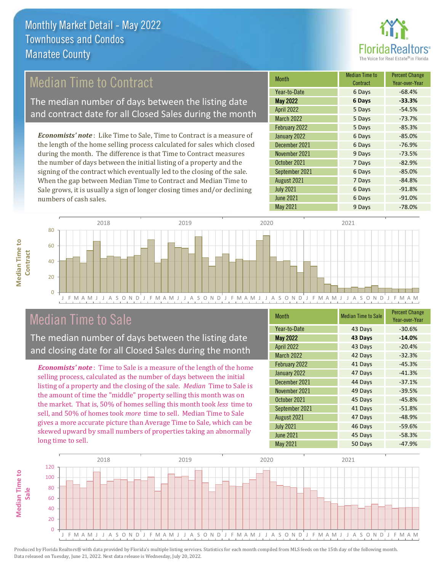

# Median Time to Contract

The median number of days between the listing date and contract date for all Closed Sales during the month

*Economists' note* : Like Time to Sale, Time to Contract is a measure of the length of the home selling process calculated for sales which closed during the month. The difference is that Time to Contract measures the number of days between the initial listing of a property and the signing of the contract which eventually led to the closing of the sale. When the gap between Median Time to Contract and Median Time to Sale grows, it is usually a sign of longer closing times and/or declining numbers of cash sales.

| <b>Month</b>      | <b>Median Time to</b><br>Contract | <b>Percent Change</b><br>Year-over-Year |
|-------------------|-----------------------------------|-----------------------------------------|
| Year-to-Date      | 6 Days                            | $-68.4%$                                |
| <b>May 2022</b>   | 6 Days                            | $-33.3%$                                |
| <b>April 2022</b> | 5 Days                            | $-54.5%$                                |
| <b>March 2022</b> | 5 Days                            | $-73.7%$                                |
| February 2022     | 5 Days                            | $-85.3%$                                |
| January 2022      | 6 Days                            | $-85.0%$                                |
| December 2021     | 6 Days                            | $-76.9%$                                |
| November 2021     | 9 Days                            | $-73.5%$                                |
| October 2021      | 7 Days                            | $-82.9%$                                |
| September 2021    | 6 Days                            | $-85.0%$                                |
| August 2021       | 7 Days                            | $-84.8%$                                |
| <b>July 2021</b>  | 6 Days                            | $-91.8%$                                |
| <b>June 2021</b>  | 6 Days                            | $-91.0%$                                |
| <b>May 2021</b>   | 9 Days                            | $-78.0%$                                |



## Median Time to Sale

**Median Time to** 

**Median Time to** 

The median number of days between the listing date and closing date for all Closed Sales during the month

*Economists' note* : Time to Sale is a measure of the length of the home selling process, calculated as the number of days between the initial listing of a property and the closing of the sale. *Median* Time to Sale is the amount of time the "middle" property selling this month was on the market. That is, 50% of homes selling this month took *less* time to sell, and 50% of homes took *more* time to sell. Median Time to Sale gives a more accurate picture than Average Time to Sale, which can be skewed upward by small numbers of properties taking an abnormally long time to sell.

| <b>Month</b>      | <b>Median Time to Sale</b> | <b>Percent Change</b><br>Year-over-Year |
|-------------------|----------------------------|-----------------------------------------|
| Year-to-Date      | 43 Days                    | $-30.6%$                                |
| <b>May 2022</b>   | 43 Days                    | $-14.0%$                                |
| <b>April 2022</b> | 43 Days                    | $-20.4%$                                |
| March 2022        | 42 Days                    | $-32.3%$                                |
| February 2022     | 41 Days                    | $-45.3%$                                |
| January 2022      | 47 Days                    | $-41.3%$                                |
| December 2021     | 44 Days                    | $-37.1%$                                |
| November 2021     | 49 Days                    | $-39.5%$                                |
| October 2021      | 45 Days                    | $-45.8%$                                |
| September 2021    | 41 Days                    | $-51.8%$                                |
| August 2021       | 47 Days                    | $-48.9%$                                |
| <b>July 2021</b>  | 46 Days                    | $-59.6%$                                |
| <b>June 2021</b>  | 45 Days                    | $-58.3%$                                |
| May 2021          | 50 Days                    | $-47.9%$                                |

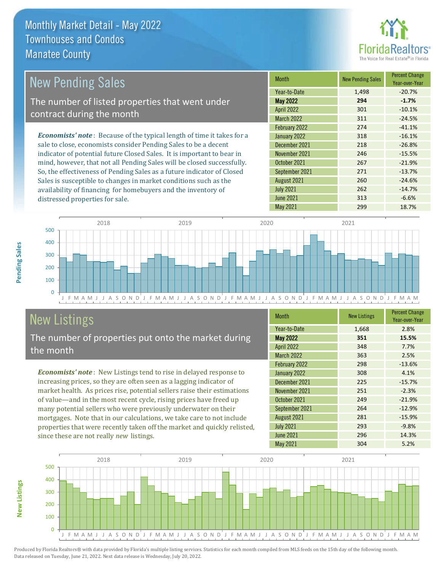distressed properties for sale.



| <b>New Pending Sales</b>                                                       | <b>Month</b>      | <b>New Pending Sales</b> | <b>Percent Change</b><br>Year-over-Year |
|--------------------------------------------------------------------------------|-------------------|--------------------------|-----------------------------------------|
|                                                                                | Year-to-Date      | 1,498                    | $-20.7%$                                |
| The number of listed properties that went under                                | <b>May 2022</b>   | 294                      | $-1.7%$                                 |
| contract during the month                                                      | <b>April 2022</b> | 301                      | $-10.1%$                                |
|                                                                                | <b>March 2022</b> | 311                      | $-24.5%$                                |
|                                                                                | February 2022     | 274                      | $-41.1%$                                |
| <b>Economists' note</b> : Because of the typical length of time it takes for a | January 2022      | 318                      | $-16.1%$                                |
| sale to close, economists consider Pending Sales to be a decent                | December 2021     | 218                      | $-26.8%$                                |
| indicator of potential future Closed Sales. It is important to bear in         | November 2021     | 246                      | $-15.5%$                                |
| mind, however, that not all Pending Sales will be closed successfully.         | October 2021      | 267                      | $-21.9%$                                |
| So, the effectiveness of Pending Sales as a future indicator of Closed         | September 2021    | 271                      | $-13.7%$                                |
| Sales is susceptible to changes in market conditions such as the               | August 2021       | 260                      | $-24.6%$                                |



# New Listings

The number of properties put onto the market during the month

availability of financing for homebuyers and the inventory of

*Economists' note* : New Listings tend to rise in delayed response to increasing prices, so they are often seen as a lagging indicator of market health. As prices rise, potential sellers raise their estimations of value—and in the most recent cycle, rising prices have freed up many potential sellers who were previously underwater on their mortgages. Note that in our calculations, we take care to not include properties that were recently taken off the market and quickly relisted, since these are not really *new* listings.

| <b>Month</b>      | <b>New Listings</b> | <b>Percent Change</b><br>Year-over-Year |
|-------------------|---------------------|-----------------------------------------|
| Year-to-Date      | 1,668               | 2.8%                                    |
| <b>May 2022</b>   | 351                 | 15.5%                                   |
| <b>April 2022</b> | 348                 | 7.7%                                    |
| <b>March 2022</b> | 363                 | 2.5%                                    |
| February 2022     | 298                 | $-13.6%$                                |
| January 2022      | 308                 | 4.1%                                    |
| December 2021     | 225                 | $-15.7%$                                |
| November 2021     | 251                 | $-2.3%$                                 |
| October 2021      | 249                 | $-21.9%$                                |
| September 2021    | 264                 | $-12.9%$                                |
| August 2021       | 281                 | $-15.9%$                                |
| <b>July 2021</b>  | 293                 | $-9.8%$                                 |
| <b>June 2021</b>  | 296                 | 14.3%                                   |
| <b>May 2021</b>   | 304                 | 5.2%                                    |

July 2021 262 262 -14.7% June 2021 313 313 -6.6% May 2021 299 299 18.7%



Produced by Florida Realtors® with data provided by Florida's multiple listing services. Statistics for each month compiled from MLS feeds on the 15th day of the following month. Data released on Tuesday, June 21, 2022. Next data release is Wednesday, July 20, 2022.

**New Listings**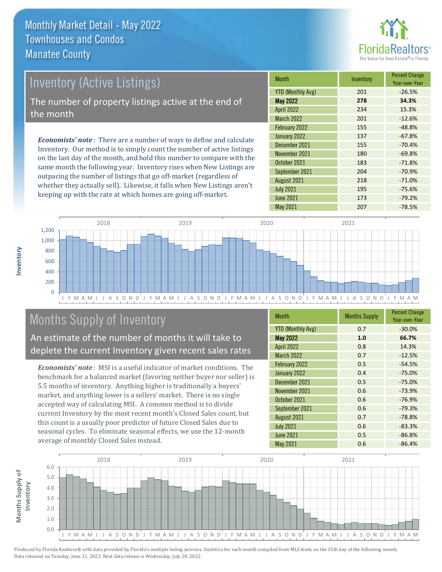

# Inventory (Active Listings) The number of property listings active at the end of the month

*Economists' note* : There are a number of ways to define and calculate Inventory. Our method is to simply count the number of active listings on the last day of the month, and hold this number to compare with the same month the following year. Inventory rises when New Listings are outpacing the number of listings that go off-market (regardless of whether they actually sell). Likewise, it falls when New Listings aren't keeping up with the rate at which homes are going off-market.

| <b>Month</b>             | Inventory | <b>Percent Change</b><br>Year-over-Year |
|--------------------------|-----------|-----------------------------------------|
| <b>YTD (Monthly Avg)</b> | 201       | $-26.5%$                                |
| <b>May 2022</b>          | 278       | 34.3%                                   |
| <b>April 2022</b>        | 234       | 15.3%                                   |
| <b>March 2022</b>        | 201       | $-12.6%$                                |
| February 2022            | 155       | $-48.8%$                                |
| January 2022             | 137       | $-67.8%$                                |
| December 2021            | 155       | $-70.4%$                                |
| November 2021            | 180       | $-69.8%$                                |
| October 2021             | 183       | $-71.8%$                                |
| September 2021           | 204       | $-70.9%$                                |
| August 2021              | 218       | $-71.0%$                                |
| <b>July 2021</b>         | 195       | $-75.6%$                                |
| <b>June 2021</b>         | 173       | $-79.2%$                                |
| May 2021                 | 207       | $-78.5%$                                |



# Months Supply of Inventory

An estimate of the number of months it will take to deplete the current Inventory given recent sales rates

*Economists' note* : MSI is a useful indicator of market conditions. The benchmark for a balanced market (favoring neither buyer nor seller) is 5.5 months of inventory. Anything higher is traditionally a buyers' market, and anything lower is a sellers' market. There is no single accepted way of calculating MSI. A common method is to divide current Inventory by the most recent month's Closed Sales count, but this count is a usually poor predictor of future Closed Sales due to seasonal cycles. To eliminate seasonal effects, we use the 12-month average of monthly Closed Sales instead.

| <b>Month</b>             | <b>Months Supply</b> | <b>Percent Change</b><br>Year-over-Year |
|--------------------------|----------------------|-----------------------------------------|
| <b>YTD (Monthly Avg)</b> | 0.7                  | $-30.0%$                                |
| <b>May 2022</b>          | 1.0                  | 66.7%                                   |
| <b>April 2022</b>        | 0.8                  | 14.3%                                   |
| <b>March 2022</b>        | 0.7                  | $-12.5%$                                |
| February 2022            | 0.5                  | $-54.5%$                                |
| January 2022             | 0.4                  | $-75.0%$                                |
| December 2021            | 0.5                  | $-75.0%$                                |
| November 2021            | 0.6                  | $-73.9%$                                |
| October 2021             | 0.6                  | $-76.9%$                                |
| September 2021           | 0.6                  | $-79.3%$                                |
| August 2021              | 0.7                  | $-78.8%$                                |
| <b>July 2021</b>         | 0.6                  | $-83.3%$                                |
| <b>June 2021</b>         | 0.5                  | $-86.8%$                                |
| May 2021                 | 0.6                  | $-86.4%$                                |

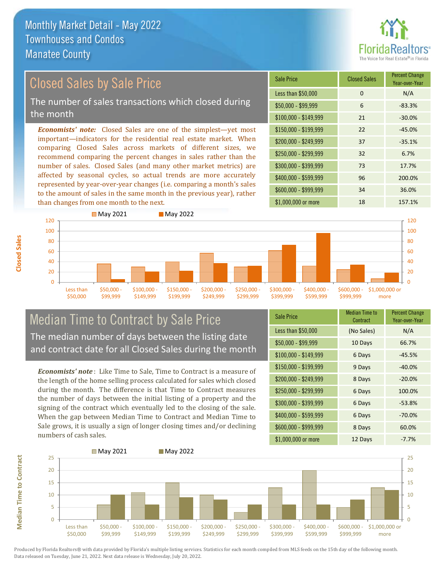

Year-over-Year

#### *Economists' note:* Closed Sales are one of the simplest—yet most important—indicators for the residential real estate market. When comparing Closed Sales across markets of different sizes, we recommend comparing the percent changes in sales rather than the number of sales. Closed Sales (and many other market metrics) are affected by seasonal cycles, so actual trends are more accurately represented by year-over-year changes (i.e. comparing a month's sales to the amount of sales in the same month in the previous year), rather \$1,000,000 or more 18 18 157.1% \$250,000 - \$299,999 32 6.7% \$300,000 - \$399,999 73 17.7% \$400,000 - \$599,999 96 200.0% \$600,000 - \$999,999 34 36.0% \$150,000 - \$199,999 22 -45.0% \$200,000 - \$249,999 37 -35.1%  $$100,000 - $149,999$  21  $-30.0\%$ Sale Price Closed Sales Percent Change Less than \$50,000 0 0 N/A  $$50,000 - $99,999$  6 -83.3% Closed Sales by Sale Price The number of sales transactions which closed during the month



## Median Time to Contract by Sale Price The median number of days between the listing date and contract date for all Closed Sales during the month

*Economists' note* : Like Time to Sale, Time to Contract is a measure of the length of the home selling process calculated for sales which closed during the month. The difference is that Time to Contract measures the number of days between the initial listing of a property and the signing of the contract which eventually led to the closing of the sale. When the gap between Median Time to Contract and Median Time to Sale grows, it is usually a sign of longer closing times and/or declining numbers of cash sales.

| <b>Sale Price</b>     | <b>Median Time to</b><br>Contract | <b>Percent Change</b><br>Year-over-Year |
|-----------------------|-----------------------------------|-----------------------------------------|
| Less than \$50,000    | (No Sales)                        | N/A                                     |
| $$50,000 - $99,999$   | 10 Days                           | 66.7%                                   |
| $$100,000 - $149,999$ | 6 Days                            | $-45.5%$                                |
| $$150,000 - $199,999$ | 9 Days                            | $-40.0%$                                |
| \$200,000 - \$249,999 | 8 Days                            | $-20.0%$                                |
| \$250,000 - \$299,999 | 6 Days                            | 100.0%                                  |
| \$300,000 - \$399,999 | 6 Days                            | $-53.8%$                                |
| $$400,000 - $599,999$ | 6 Days                            | $-70.0\%$                               |
| \$600,000 - \$999,999 | 8 Days                            | 60.0%                                   |
| \$1,000,000 or more   | 12 Days                           | $-7.7%$                                 |



Produced by Florida Realtors® with data provided by Florida's multiple listing services. Statistics for each month compiled from MLS feeds on the 15th day of the following month. Data released on Tuesday, June 21, 2022. Next data release is Wednesday, July 20, 2022.

**Median Time to Contract Median Time to Contract**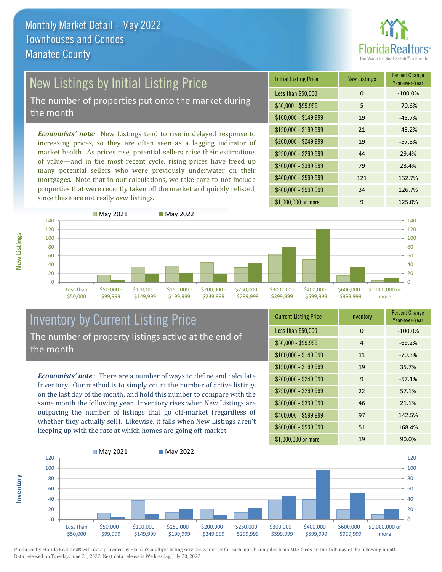

# New Listings by Initial Listing Price

The number of properties put onto the market during the month

*Economists' note:* New Listings tend to rise in delayed response to increasing prices, so they are often seen as a lagging indicator of market health. As prices rise, potential sellers raise their estimations of value—and in the most recent cycle, rising prices have freed up many potential sellers who were previously underwater on their mortgages. Note that in our calculations, we take care to not include properties that were recently taken off the market and quickly relisted, since these are not really *new* listings.



**New Listings**

**Inventory**



### Inventory by Current Listing Price The number of property listings active at the end of the month

*Economists' note* : There are a number of ways to define and calculate Inventory. Our method is to simply count the number of active listings on the last day of the month, and hold this number to compare with the same month the following year. Inventory rises when New Listings are outpacing the number of listings that go off-market (regardless of whether they actually sell). Likewise, it falls when New Listings aren't keeping up with the rate at which homes are going off-market.

| <b>Current Listing Price</b> | Inventory | <b>Percent Change</b><br>Year-over-Year |
|------------------------------|-----------|-----------------------------------------|
| Less than \$50,000           | 0         | $-100.0%$                               |
| $$50,000 - $99,999$          | 4         | $-69.2%$                                |
| \$100,000 - \$149,999        | 11        | $-70.3%$                                |
| $$150,000 - $199,999$        | 19        | 35.7%                                   |
| \$200,000 - \$249,999        | 9         | $-57.1%$                                |
| \$250,000 - \$299,999        | 22        | 57.1%                                   |
| \$300,000 - \$399,999        | 46        | 21.1%                                   |
| \$400,000 - \$599,999        | 97        | 142.5%                                  |
| \$600,000 - \$999,999        | 51        | 168.4%                                  |
| \$1,000,000 or more          | 19        | 90.0%                                   |